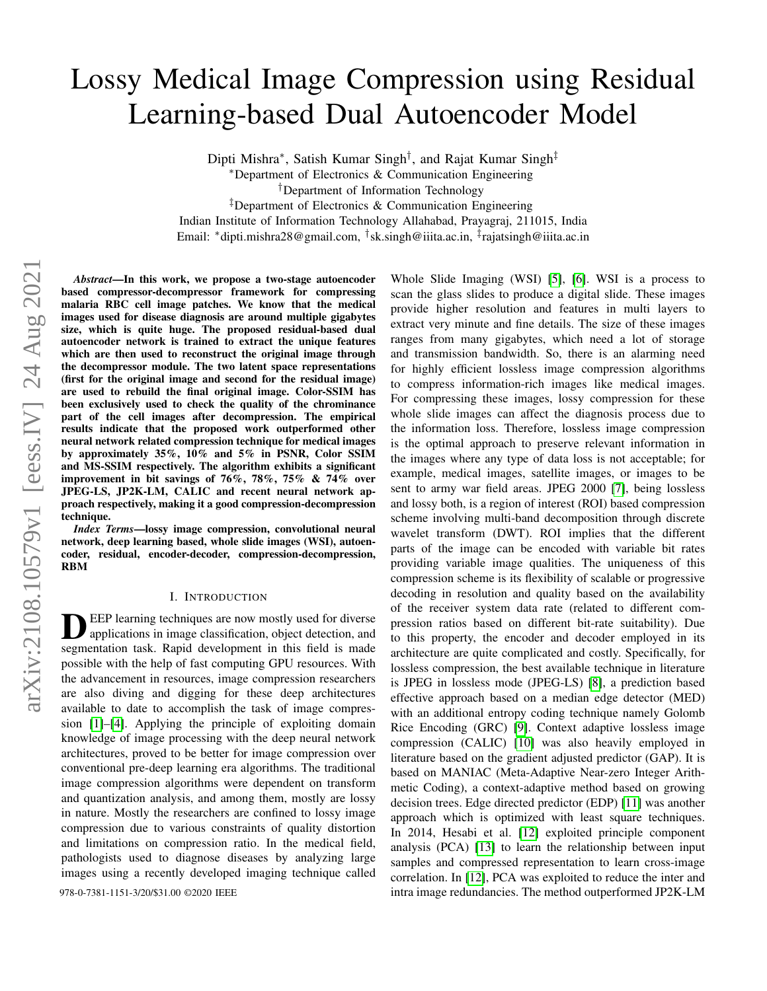# Lossy Medical Image Compression using Residual Learning-based Dual Autoencoder Model

Dipti Mishra<sup>∗</sup>, Satish Kumar Singh<sup>†</sup>, and Rajat Kumar Singh<sup>‡</sup>

<sup>∗</sup>Department of Electronics & Communication Engineering

†Department of Information Technology

‡Department of Electronics & Communication Engineering

Indian Institute of Information Technology Allahabad, Prayagraj, 211015, India

Email: <sup>∗</sup>dipti.mishra28@gmail.com, † sk.singh@iiita.ac.in, ‡ rajatsingh@iiita.ac.in

*Abstract*—In this work, we propose a two-stage autoencoder based compressor-decompressor framework for compressing malaria RBC cell image patches. We know that the medical images used for disease diagnosis are around multiple gigabytes size, which is quite huge. The proposed residual-based dual autoencoder network is trained to extract the unique features which are then used to reconstruct the original image through the decompressor module. The two latent space representations (first for the original image and second for the residual image) are used to rebuild the final original image. Color-SSIM has been exclusively used to check the quality of the chrominance part of the cell images after decompression. The empirical results indicate that the proposed work outperformed other neural network related compression technique for medical images by approximately 35%, 10% and 5% in PSNR, Color SSIM and MS-SSIM respectively. The algorithm exhibits a significant improvement in bit savings of 76%, 78%, 75% & 74% over JPEG-LS, JP2K-LM, CALIC and recent neural network approach respectively, making it a good compression-decompression technique.

*Index Terms*—lossy image compression, convolutional neural network, deep learning based, whole slide images (WSI), autoencoder, residual, encoder-decoder, compression-decompression, RBM

#### I. INTRODUCTION

DEEP learning techniques are now mostly used for diverse applications in image classification, object detection, and segmentation task. Rapid development in this field is made EEP learning techniques are now mostly used for diverse applications in image classification, object detection, and possible with the help of fast computing GPU resources. With the advancement in resources, image compression researchers are also diving and digging for these deep architectures available to date to accomplish the task of image compression [\[1\]](#page-4-0)–[\[4\]](#page-4-1). Applying the principle of exploiting domain knowledge of image processing with the deep neural network architectures, proved to be better for image compression over conventional pre-deep learning era algorithms. The traditional image compression algorithms were dependent on transform and quantization analysis, and among them, mostly are lossy in nature. Mostly the researchers are confined to lossy image compression due to various constraints of quality distortion and limitations on compression ratio. In the medical field, pathologists used to diagnose diseases by analyzing large images using a recently developed imaging technique called

Whole Slide Imaging (WSI) [\[5\]](#page-4-2), [\[6\]](#page-4-3). WSI is a process to scan the glass slides to produce a digital slide. These images provide higher resolution and features in multi layers to extract very minute and fine details. The size of these images ranges from many gigabytes, which need a lot of storage and transmission bandwidth. So, there is an alarming need for highly efficient lossless image compression algorithms to compress information-rich images like medical images. For compressing these images, lossy compression for these whole slide images can affect the diagnosis process due to the information loss. Therefore, lossless image compression is the optimal approach to preserve relevant information in the images where any type of data loss is not acceptable; for example, medical images, satellite images, or images to be sent to army war field areas. JPEG 2000 [\[7\]](#page-4-4), being lossless and lossy both, is a region of interest (ROI) based compression scheme involving multi-band decomposition through discrete wavelet transform (DWT). ROI implies that the different parts of the image can be encoded with variable bit rates providing variable image qualities. The uniqueness of this compression scheme is its flexibility of scalable or progressive decoding in resolution and quality based on the availability of the receiver system data rate (related to different compression ratios based on different bit-rate suitability). Due to this property, the encoder and decoder employed in its architecture are quite complicated and costly. Specifically, for lossless compression, the best available technique in literature is JPEG in lossless mode (JPEG-LS) [\[8\]](#page-4-5), a prediction based effective approach based on a median edge detector (MED) with an additional entropy coding technique namely Golomb Rice Encoding (GRC) [\[9\]](#page-4-6). Context adaptive lossless image compression (CALIC) [\[10\]](#page-4-7) was also heavily employed in literature based on the gradient adjusted predictor (GAP). It is based on MANIAC (Meta-Adaptive Near-zero Integer Arithmetic Coding), a context-adaptive method based on growing decision trees. Edge directed predictor (EDP) [\[11\]](#page-4-8) was another approach which is optimized with least square techniques. In 2014, Hesabi et al. [\[12\]](#page-4-9) exploited principle component analysis (PCA) [\[13\]](#page-4-10) to learn the relationship between input samples and compressed representation to learn cross-image correlation. In [\[12\]](#page-4-9), PCA was exploited to reduce the inter and 978-0-7381-1151-3/20/\$31.00 ©2020 IEEE intra image redundancies. The method outperformed JP2K-LM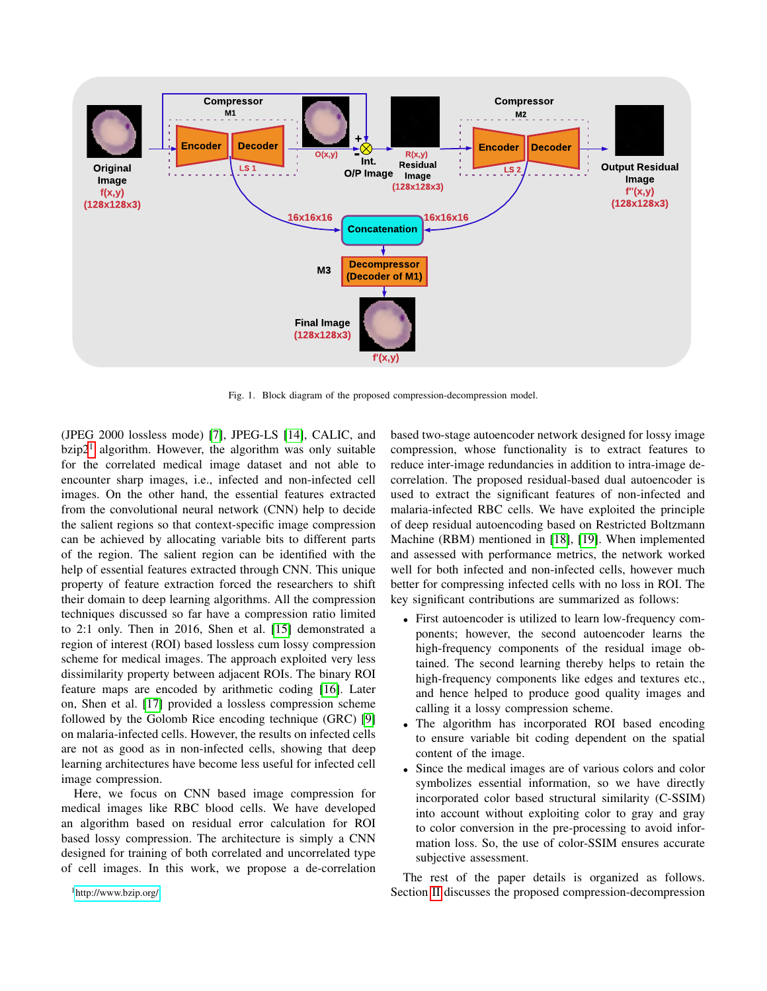

<span id="page-1-1"></span>Fig. 1. Block diagram of the proposed compression-decompression model.

(JPEG 2000 lossless mode) [\[7\]](#page-4-4), JPEG-LS [\[14\]](#page-4-11), CALIC, and  $bzip2<sup>1</sup>$  $bzip2<sup>1</sup>$  $bzip2<sup>1</sup>$  algorithm. However, the algorithm was only suitable for the correlated medical image dataset and not able to encounter sharp images, i.e., infected and non-infected cell images. On the other hand, the essential features extracted from the convolutional neural network (CNN) help to decide the salient regions so that context-specific image compression can be achieved by allocating variable bits to different parts of the region. The salient region can be identified with the help of essential features extracted through CNN. This unique property of feature extraction forced the researchers to shift their domain to deep learning algorithms. All the compression techniques discussed so far have a compression ratio limited to 2:1 only. Then in 2016, Shen et al. [\[15\]](#page-4-12) demonstrated a region of interest (ROI) based lossless cum lossy compression scheme for medical images. The approach exploited very less dissimilarity property between adjacent ROIs. The binary ROI feature maps are encoded by arithmetic coding [\[16\]](#page-4-13). Later on, Shen et al. [\[17\]](#page-4-14) provided a lossless compression scheme followed by the Golomb Rice encoding technique (GRC) [\[9\]](#page-4-6) on malaria-infected cells. However, the results on infected cells are not as good as in non-infected cells, showing that deep learning architectures have become less useful for infected cell image compression.

Here, we focus on CNN based image compression for medical images like RBC blood cells. We have developed an algorithm based on residual error calculation for ROI based lossy compression. The architecture is simply a CNN designed for training of both correlated and uncorrelated type of cell images. In this work, we propose a de-correlation

<span id="page-1-0"></span><sup>1</sup><http://www.bzip.org/>

based two-stage autoencoder network designed for lossy image compression, whose functionality is to extract features to reduce inter-image redundancies in addition to intra-image decorrelation. The proposed residual-based dual autoencoder is used to extract the significant features of non-infected and malaria-infected RBC cells. We have exploited the principle of deep residual autoencoding based on Restricted Boltzmann Machine (RBM) mentioned in [\[18\]](#page-4-15), [\[19\]](#page-4-16). When implemented and assessed with performance metrics, the network worked well for both infected and non-infected cells, however much better for compressing infected cells with no loss in ROI. The key significant contributions are summarized as follows:

- First autoencoder is utilized to learn low-frequency components; however, the second autoencoder learns the high-frequency components of the residual image obtained. The second learning thereby helps to retain the high-frequency components like edges and textures etc., and hence helped to produce good quality images and calling it a lossy compression scheme.
- The algorithm has incorporated ROI based encoding to ensure variable bit coding dependent on the spatial content of the image.
- Since the medical images are of various colors and color symbolizes essential information, so we have directly incorporated color based structural similarity (C-SSIM) into account without exploiting color to gray and gray to color conversion in the pre-processing to avoid information loss. So, the use of color-SSIM ensures accurate subjective assessment.

The rest of the paper details is organized as follows. Section [II](#page-2-0) discusses the proposed compression-decompression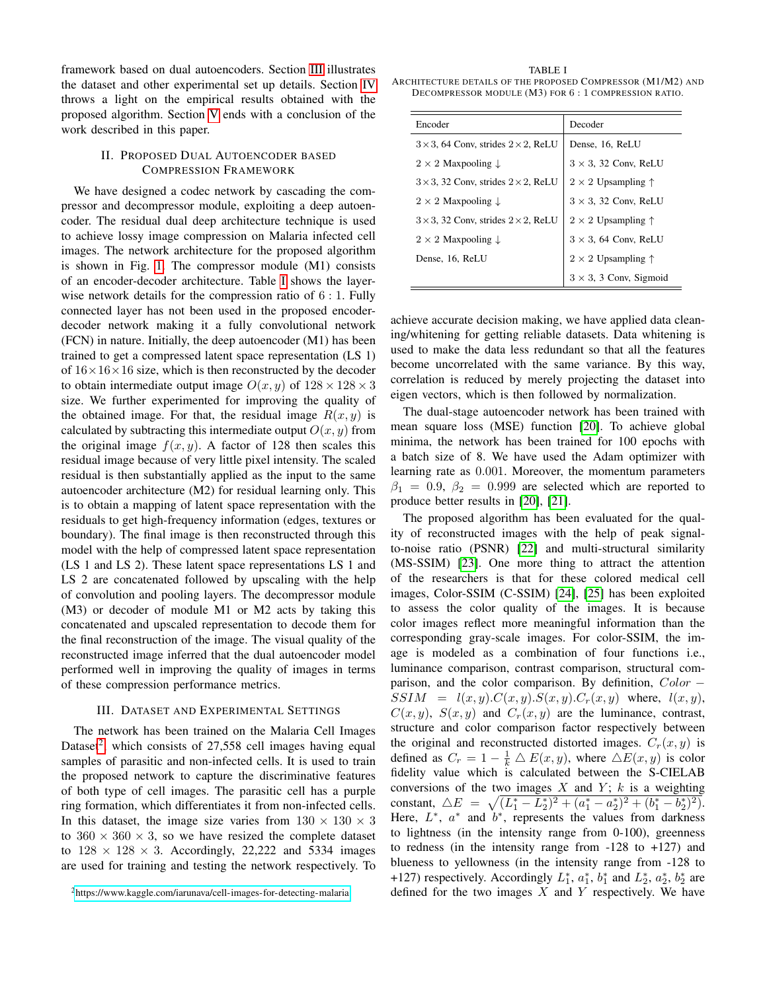framework based on dual autoencoders. Section [III](#page-2-1) illustrates the dataset and other experimental set up details. Section [IV](#page-3-0) throws a light on the empirical results obtained with the proposed algorithm. Section [V](#page-4-17) ends with a conclusion of the work described in this paper.

## <span id="page-2-0"></span>II. PROPOSED DUAL AUTOENCODER BASED COMPRESSION FRAMEWORK

We have designed a codec network by cascading the compressor and decompressor module, exploiting a deep autoencoder. The residual dual deep architecture technique is used to achieve lossy image compression on Malaria infected cell images. The network architecture for the proposed algorithm is shown in Fig. [1.](#page-1-1) The compressor module (M1) consists of an encoder-decoder architecture. Table [I](#page-2-2) shows the layerwise network details for the compression ratio of 6 : 1. Fully connected layer has not been used in the proposed encoderdecoder network making it a fully convolutional network (FCN) in nature. Initially, the deep autoencoder (M1) has been trained to get a compressed latent space representation (LS 1) of  $16 \times 16 \times 16$  size, which is then reconstructed by the decoder to obtain intermediate output image  $O(x, y)$  of  $128 \times 128 \times 3$ size. We further experimented for improving the quality of the obtained image. For that, the residual image  $R(x, y)$  is calculated by subtracting this intermediate output  $O(x, y)$  from the original image  $f(x, y)$ . A factor of 128 then scales this residual image because of very little pixel intensity. The scaled residual is then substantially applied as the input to the same autoencoder architecture (M2) for residual learning only. This is to obtain a mapping of latent space representation with the residuals to get high-frequency information (edges, textures or boundary). The final image is then reconstructed through this model with the help of compressed latent space representation (LS 1 and LS 2). These latent space representations LS 1 and LS 2 are concatenated followed by upscaling with the help of convolution and pooling layers. The decompressor module (M3) or decoder of module M1 or M2 acts by taking this concatenated and upscaled representation to decode them for the final reconstruction of the image. The visual quality of the reconstructed image inferred that the dual autoencoder model performed well in improving the quality of images in terms of these compression performance metrics.

#### III. DATASET AND EXPERIMENTAL SETTINGS

<span id="page-2-1"></span>The network has been trained on the Malaria Cell Images Dataset<sup>[2](#page-2-3)</sup>, which consists of 27,558 cell images having equal samples of parasitic and non-infected cells. It is used to train the proposed network to capture the discriminative features of both type of cell images. The parasitic cell has a purple ring formation, which differentiates it from non-infected cells. In this dataset, the image size varies from  $130 \times 130 \times 3$ to  $360 \times 360 \times 3$ , so we have resized the complete dataset to  $128 \times 128 \times 3$ . Accordingly, 22,222 and 5334 images are used for training and testing the network respectively. To

<span id="page-2-2"></span>TABLE I ARCHITECTURE DETAILS OF THE PROPOSED COMPRESSOR (M1/M2) AND DECOMPRESSOR MODULE (M3) FOR 6 : 1 COMPRESSION RATIO.

| Encoder                                             | Decoder                            |
|-----------------------------------------------------|------------------------------------|
| $3 \times 3$ , 64 Conv, strides $2 \times 2$ , ReLU | Dense, 16, ReLU                    |
| $2 \times 2$ Maxpooling $\downarrow$                | $3 \times 3$ , 32 Conv, ReLU       |
| $3 \times 3$ , 32 Conv, strides $2 \times 2$ , ReLU | $2 \times 2$ Upsampling $\uparrow$ |
| $2 \times 2$ Maxpooling $\downarrow$                | $3 \times 3$ , 32 Conv, ReLU       |
| $3 \times 3$ , 32 Conv, strides $2 \times 2$ , ReLU | $2 \times 2$ Upsampling $\uparrow$ |
| $2 \times 2$ Maxpooling $\downarrow$                | $3 \times 3$ , 64 Conv, ReLU       |
| Dense, 16, ReLU                                     | $2 \times 2$ Upsampling $\uparrow$ |
|                                                     | $3 \times 3$ , 3 Conv, Sigmoid     |

achieve accurate decision making, we have applied data cleaning/whitening for getting reliable datasets. Data whitening is used to make the data less redundant so that all the features become uncorrelated with the same variance. By this way, correlation is reduced by merely projecting the dataset into eigen vectors, which is then followed by normalization.

The dual-stage autoencoder network has been trained with mean square loss (MSE) function [\[20\]](#page-4-18). To achieve global minima, the network has been trained for 100 epochs with a batch size of 8. We have used the Adam optimizer with learning rate as 0.001. Moreover, the momentum parameters  $\beta_1 = 0.9, \ \beta_2 = 0.999$  are selected which are reported to produce better results in [\[20\]](#page-4-18), [\[21\]](#page-4-19).

The proposed algorithm has been evaluated for the quality of reconstructed images with the help of peak signalto-noise ratio (PSNR) [\[22\]](#page-4-20) and multi-structural similarity (MS-SSIM) [\[23\]](#page-4-21). One more thing to attract the attention of the researchers is that for these colored medical cell images, Color-SSIM (C-SSIM) [\[24\]](#page-4-22), [\[25\]](#page-4-23) has been exploited to assess the color quality of the images. It is because color images reflect more meaningful information than the corresponding gray-scale images. For color-SSIM, the image is modeled as a combination of four functions i.e., luminance comparison, contrast comparison, structural comparison, and the color comparison. By definition,  $Color SSIM = l(x, y) \cdot C(x, y) \cdot S(x, y) \cdot C_r(x, y)$  where,  $l(x, y)$ ,  $C(x, y)$ ,  $S(x, y)$  and  $C_r(x, y)$  are the luminance, contrast, structure and color comparison factor respectively between the original and reconstructed distorted images.  $C_r(x, y)$  is defined as  $C_r = 1 - \frac{1}{k} \triangle E(x, y)$ , where  $\triangle E(x, y)$  is color fidelity value which is calculated between the S-CIELAB conversions of the two images  $X$  and  $Y$ ;  $k$  is a weighting constant,  $\triangle E = \sqrt{(L_1^* - L_2^*)^2 + (a_1^* - a_2^*)^2 + (b_1^* - b_2^*)^2)}$ . Here,  $L^*$ ,  $a^*$  and  $b^*$ , represents the values from darkness to lightness (in the intensity range from 0-100), greenness to redness (in the intensity range from  $-128$  to  $+127$ ) and blueness to yellowness (in the intensity range from -128 to +127) respectively. Accordingly  $L_1^*$ ,  $a_1^*$ ,  $b_1^*$  and  $L_2^*$ ,  $a_2^*$ ,  $b_2^*$  are defined for the two images  $X$  and  $Y$  respectively. We have

<span id="page-2-3"></span><sup>2</sup><https://www.kaggle.com/iarunava/cell-images-for-detecting-malaria>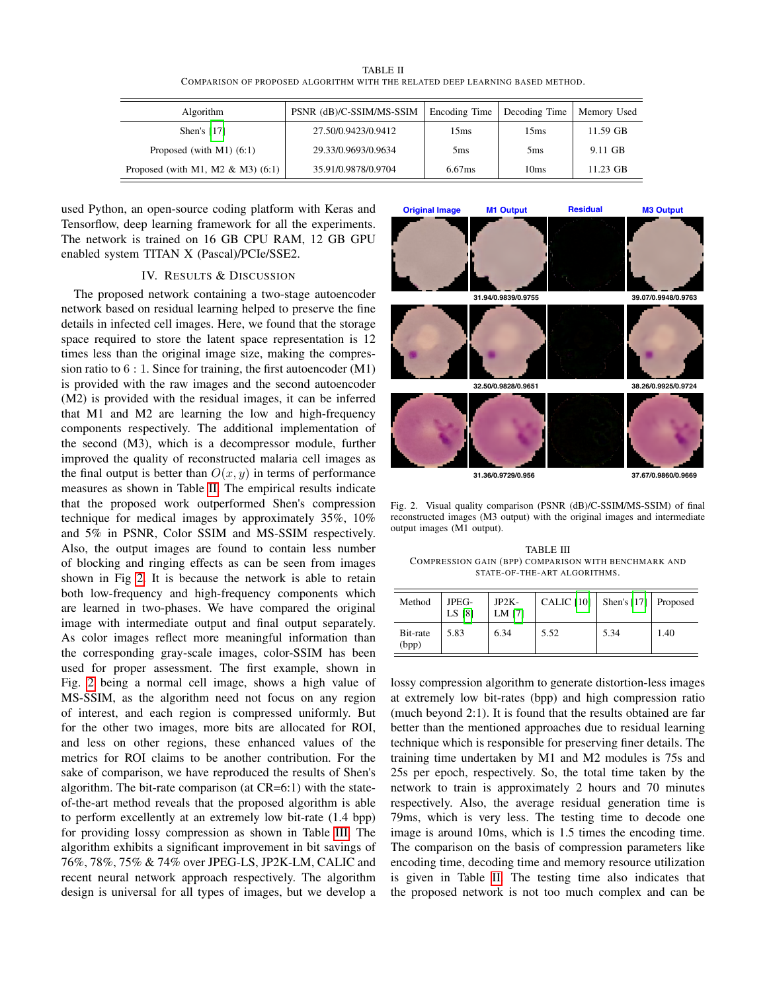| <b>TABLE II</b>                                                               |  |  |  |  |  |  |  |
|-------------------------------------------------------------------------------|--|--|--|--|--|--|--|
| COMPARISON OF PROPOSED ALGORITHM WITH THE RELATED DEEP LEARNING BASED METHOD. |  |  |  |  |  |  |  |

<span id="page-3-1"></span>

| Algorithm                            | PSNR (dB)/C-SSIM/MS-SSIM | Encoding Time    | Decoding Time    | Memory Used |
|--------------------------------------|--------------------------|------------------|------------------|-------------|
| Shen's $[17]$                        | 27.50/0.9423/0.9412      | 15 <sub>ms</sub> | 15 <sub>ms</sub> | 11.59 GB    |
| Proposed (with $M1$ ) (6:1)          | 29.33/0.9693/0.9634      | 5 <sub>ms</sub>  | 5 <sub>ms</sub>  | 9.11 GB     |
| Proposed (with M1, M2 $\&$ M3) (6:1) | 35.91/0.9878/0.9704      | 6.67ms           | 10 <sub>ms</sub> | 11.23 GB    |

used Python, an open-source coding platform with Keras and Tensorflow, deep learning framework for all the experiments. The network is trained on 16 GB CPU RAM, 12 GB GPU enabled system TITAN X (Pascal)/PCIe/SSE2.

# IV. RESULTS & DISCUSSION

<span id="page-3-0"></span>The proposed network containing a two-stage autoencoder network based on residual learning helped to preserve the fine details in infected cell images. Here, we found that the storage space required to store the latent space representation is 12 times less than the original image size, making the compression ratio to  $6:1$ . Since for training, the first autoencoder  $(M1)$ is provided with the raw images and the second autoencoder (M2) is provided with the residual images, it can be inferred that M1 and M2 are learning the low and high-frequency components respectively. The additional implementation of the second (M3), which is a decompressor module, further improved the quality of reconstructed malaria cell images as the final output is better than  $O(x, y)$  in terms of performance measures as shown in Table [II.](#page-3-1) The empirical results indicate that the proposed work outperformed Shen's compression technique for medical images by approximately 35%, 10% and 5% in PSNR, Color SSIM and MS-SSIM respectively. Also, the output images are found to contain less number of blocking and ringing effects as can be seen from images shown in Fig [2.](#page-3-2) It is because the network is able to retain both low-frequency and high-frequency components which are learned in two-phases. We have compared the original image with intermediate output and final output separately. As color images reflect more meaningful information than the corresponding gray-scale images, color-SSIM has been used for proper assessment. The first example, shown in Fig. [2](#page-3-2) being a normal cell image, shows a high value of MS-SSIM, as the algorithm need not focus on any region of interest, and each region is compressed uniformly. But for the other two images, more bits are allocated for ROI, and less on other regions, these enhanced values of the metrics for ROI claims to be another contribution. For the sake of comparison, we have reproduced the results of Shen's algorithm. The bit-rate comparison (at CR=6:1) with the stateof-the-art method reveals that the proposed algorithm is able to perform excellently at an extremely low bit-rate (1.4 bpp) for providing lossy compression as shown in Table [III.](#page-3-3) The algorithm exhibits a significant improvement in bit savings of 76%, 78%, 75% & 74% over JPEG-LS, JP2K-LM, CALIC and recent neural network approach respectively. The algorithm design is universal for all types of images, but we develop a



Fig. 2. Visual quality comparison (PSNR (dB)/C-SSIM/MS-SSIM) of final reconstructed images (M3 output) with the original images and intermediate output images (M1 output).

<span id="page-3-3"></span><span id="page-3-2"></span>TABLE III COMPRESSION GAIN (BPP) COMPARISON WITH BENCHMARK AND STATE-OF-THE-ART ALGORITHMS.

| Method            | JPEG-<br>LS [8] | $JP2K-$<br>LM [7] | CALIC $[10]$ | Shen's [17] Proposed |      |
|-------------------|-----------------|-------------------|--------------|----------------------|------|
| Bit-rate<br>(bpp) | 5.83            | 6.34              | 5.52         | 5.34                 | 1.40 |

lossy compression algorithm to generate distortion-less images at extremely low bit-rates (bpp) and high compression ratio (much beyond 2:1). It is found that the results obtained are far better than the mentioned approaches due to residual learning technique which is responsible for preserving finer details. The training time undertaken by M1 and M2 modules is 75s and 25s per epoch, respectively. So, the total time taken by the network to train is approximately 2 hours and 70 minutes respectively. Also, the average residual generation time is 79ms, which is very less. The testing time to decode one image is around 10ms, which is 1.5 times the encoding time. The comparison on the basis of compression parameters like encoding time, decoding time and memory resource utilization is given in Table [II.](#page-3-1) The testing time also indicates that the proposed network is not too much complex and can be